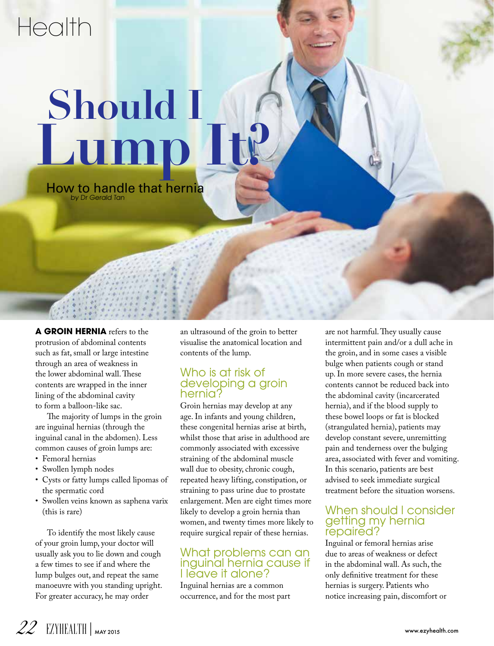## Health

# Lump **Should I**

How to handle that hernia by Dr Gerald Tan

**A GROIN HERNIA** refers to the protrusion of abdominal contents such as fat, small or large intestine through an area of weakness in the lower abdominal wall. These contents are wrapped in the inner lining of the abdominal cavity to form a balloon-like sac.

The majority of lumps in the groin are inguinal hernias (through the inguinal canal in the abdomen). Less common causes of groin lumps are:

- Femoral hernias
- Swollen lymph nodes
- Cysts or fatty lumps called lipomas of the spermatic cord
- Swollen veins known as saphena varix (this is rare)

To identify the most likely cause of your groin lump, your doctor will usually ask you to lie down and cough a few times to see if and where the lump bulges out, and repeat the same manoeuvre with you standing upright. For greater accuracy, he may order

an ultrasound of the groin to better visualise the anatomical location and contents of the lump.

#### Who is at risk of developing a groin hernia?

Groin hernias may develop at any age. In infants and young children, these congenital hernias arise at birth, whilst those that arise in adulthood are commonly associated with excessive straining of the abdominal muscle wall due to obesity, chronic cough, repeated heavy lifting, constipation, or straining to pass urine due to prostate enlargement. Men are eight times more likely to develop a groin hernia than women, and twenty times more likely to require surgical repair of these hernias.

#### What problems can an inguinal hernia cause if I leave it alone?

Inguinal hernias are a common occurrence, and for the most part are not harmful. They usually cause intermittent pain and/or a dull ache in the groin, and in some cases a visible bulge when patients cough or stand up. In more severe cases, the hernia contents cannot be reduced back into the abdominal cavity (incarcerated hernia), and if the blood supply to these bowel loops or fat is blocked (strangulated hernia), patients may develop constant severe, unremitting pain and tenderness over the bulging area, associated with fever and vomiting. In this scenario, patients are best advised to seek immediate surgical treatment before the situation worsens.

#### When should I consider getting my hernia repaired?

Inguinal or femoral hernias arise due to areas of weakness or defect in the abdominal wall. As such, the only definitive treatment for these hernias is surgery. Patients who notice increasing pain, discomfort or